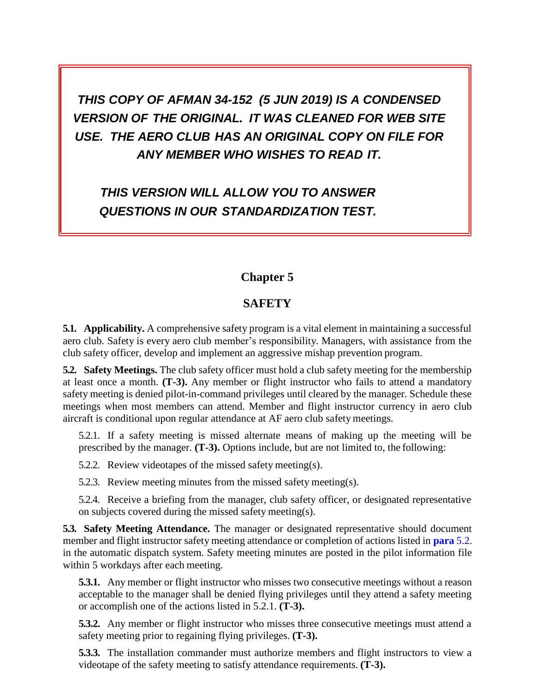*THIS COPY OF AFMAN 34-152 (5 JUN 2019) IS A CONDENSED VERSION OF THE ORIGINAL. IT WAS CLEANED FOR WEB SITE USE. THE AERO CLUB HAS AN ORIGINAL COPY ON FILE FOR ANY MEMBER WHO WISHES TO READ IT.*

*THIS VERSION WILL ALLOW YOU TO ANSWER QUESTIONS IN OUR STANDARDIZATION TEST.*

## **Chapter 5**

## **SAFETY**

**5.1. Applicability.** A comprehensive safety program is a vital element in maintaining a successful aero club. Safety is every aero club member's responsibility. Managers, with assistance from the club safety officer, develop and implement an aggressive mishap prevention program.

<span id="page-0-0"></span>**5.2. Safety Meetings.** The club safety officer must hold a club safety meeting for the membership at least once a month. **(T-3).** Any member or flight instructor who fails to attend a mandatory safety meeting is denied pilot-in-command privileges until cleared by the manager. Schedule these meetings when most members can attend. Member and flight instructor currency in aero club aircraft is conditional upon regular attendance at AF aero club safety meetings.

5.2.1. If a safety meeting is missed alternate means of making up the meeting will be prescribed by the manager. **(T-3).** Options include, but are not limited to, the following:

5.2.2. Review videotapes of the missed safety meeting(s).

5.2.3. Review meeting minutes from the missed safety meeting(s).

5.2.4. Receive a briefing from the manager, club safety officer, or designated representative on subjects covered during the missed safety meeting(s).

**5.3. Safety Meeting Attendance.** The manager or designated representative should document member and flight instructor safety meeting attendance or completion of actions listed in **[para](#page-0-0)** 5.2. in the automatic dispatch system. Safety meeting minutes are posted in the pilot information file within 5 workdays after each meeting.

**5.3.1.** Any member or flight instructor who misses two consecutive meetings without a reason acceptable to the manager shall be denied flying privileges until they attend a safety meeting or accomplish one of the actions listed in 5.2.1. **(T-3).**

**5.3.2.** Any member or flight instructor who misses three consecutive meetings must attend a safety meeting prior to regaining flying privileges. **(T-3).**

**5.3.3.** The installation commander must authorize members and flight instructors to view a videotape of the safety meeting to satisfy attendance requirements. **(T-3).**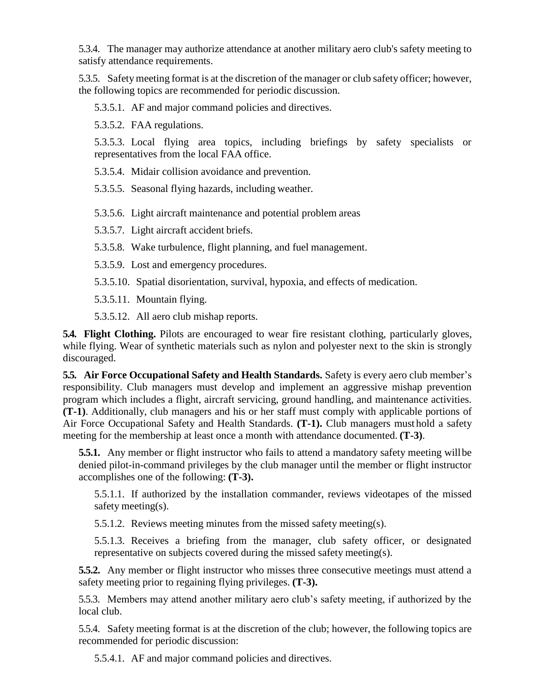5.3.4. The manager may authorize attendance at another military aero club's safety meeting to satisfy attendance requirements.

5.3.5. Safetymeeting format is at the discretion of the manager or club safety officer; however, the following topics are recommended for periodic discussion.

5.3.5.1. AF and major command policies and directives.

5.3.5.2. FAA regulations.

5.3.5.3. Local flying area topics, including briefings by safety specialists or representatives from the local FAA office.

5.3.5.4. Midair collision avoidance and prevention.

5.3.5.5. Seasonal flying hazards, including weather.

5.3.5.6. Light aircraft maintenance and potential problem areas

5.3.5.7. Light aircraft accident briefs.

5.3.5.8. Wake turbulence, flight planning, and fuel management.

5.3.5.9. Lost and emergency procedures.

5.3.5.10. Spatial disorientation, survival, hypoxia, and effects of medication.

5.3.5.11. Mountain flying.

5.3.5.12. All aero club mishap reports.

**5.4. Flight Clothing.** Pilots are encouraged to wear fire resistant clothing, particularly gloves, while flying. Wear of synthetic materials such as nylon and polyester next to the skin is strongly discouraged.

**5.5. Air Force Occupational Safety and Health Standards.** Safety is every aero club member's responsibility. Club managers must develop and implement an aggressive mishap prevention program which includes a flight, aircraft servicing, ground handling, and maintenance activities. **(T-1)**. Additionally, club managers and his or her staff must comply with applicable portions of Air Force Occupational Safety and Health Standards. **(T-1).** Club managers must hold a safety meeting for the membership at least once a month with attendance documented. **(T-3)**.

**5.5.1.** Any member or flight instructor who fails to attend a mandatory safety meeting will be denied pilot-in-command privileges by the club manager until the member or flight instructor accomplishes one of the following: **(T-3).**

5.5.1.1. If authorized by the installation commander, reviews videotapes of the missed safety meeting(s).

5.5.1.2. Reviews meeting minutes from the missed safety meeting(s).

5.5.1.3. Receives a briefing from the manager, club safety officer, or designated representative on subjects covered during the missed safety meeting(s).

**5.5.2.** Any member or flight instructor who misses three consecutive meetings must attend a safety meeting prior to regaining flying privileges. **(T-3).**

5.5.3. Members may attend another military aero club's safety meeting, if authorized by the local club.

5.5.4. Safety meeting format is at the discretion of the club; however, the following topics are recommended for periodic discussion:

5.5.4.1. AF and major command policies and directives.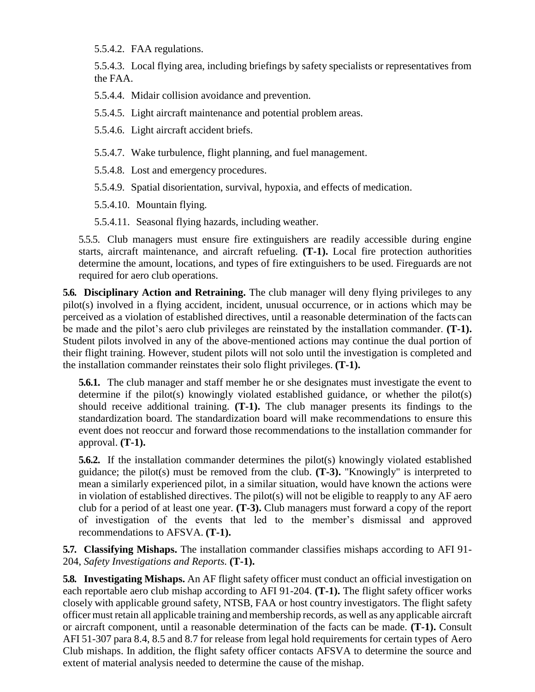5.5.4.2. FAA regulations.

5.5.4.3. Local flying area, including briefings by safety specialists or representatives from the FAA.

5.5.4.4. Midair collision avoidance and prevention.

5.5.4.5. Light aircraft maintenance and potential problem areas.

5.5.4.6. Light aircraft accident briefs.

5.5.4.7. Wake turbulence, flight planning, and fuel management.

5.5.4.8. Lost and emergency procedures.

5.5.4.9. Spatial disorientation, survival, hypoxia, and effects of medication.

5.5.4.10. Mountain flying.

5.5.4.11. Seasonal flying hazards, including weather.

5.5.5. Club managers must ensure fire extinguishers are readily accessible during engine starts, aircraft maintenance, and aircraft refueling. **(T-1).** Local fire protection authorities determine the amount, locations, and types of fire extinguishers to be used. Fireguards are not required for aero club operations.

**5.6. Disciplinary Action and Retraining.** The club manager will deny flying privileges to any pilot(s) involved in a flying accident, incident, unusual occurrence, or in actions which may be perceived as a violation of established directives, until a reasonable determination of the facts can be made and the pilot's aero club privileges are reinstated by the installation commander. **(T-1).**  Student pilots involved in any of the above-mentioned actions may continue the dual portion of their flight training. However, student pilots will not solo until the investigation is completed and the installation commander reinstates their solo flight privileges. **(T-1).**

**5.6.1.** The club manager and staff member he or she designates must investigate the event to determine if the pilot(s) knowingly violated established guidance, or whether the pilot(s) should receive additional training. **(T-1).** The club manager presents its findings to the standardization board. The standardization board will make recommendations to ensure this event does not reoccur and forward those recommendations to the installation commander for approval. **(T-1).**

**5.6.2.** If the installation commander determines the pilot(s) knowingly violated established guidance; the pilot(s) must be removed from the club. **(T-3).** "Knowingly" is interpreted to mean a similarly experienced pilot, in a similar situation, would have known the actions were in violation of established directives. The pilot(s) will not be eligible to reapply to any AF aero club for a period of at least one year. **(T-3).** Club managers must forward a copy of the report of investigation of the events that led to the member's dismissal and approved recommendations to AFSVA. **(T-1).**

**5.7. Classifying Mishaps.** The installation commander classifies mishaps according to AFI 91- 204, *Safety Investigations and Reports.* **(T-1).**

**5.8. Investigating Mishaps.** An AF flight safety officer must conduct an official investigation on each reportable aero club mishap according to AFI 91-204. **(T-1).** The flight safety officer works closely with applicable ground safety, NTSB, FAA or host country investigators. The flight safety officer must retain all applicable training and membership records, as well as any applicable aircraft or aircraft component, until a reasonable determination of the facts can be made. **(T-1).** Consult AFI 51-307 para 8.4, 8.5 and 8.7 for release from legal hold requirements for certain types of Aero Club mishaps. In addition, the flight safety officer contacts AFSVA to determine the source and extent of material analysis needed to determine the cause of the mishap.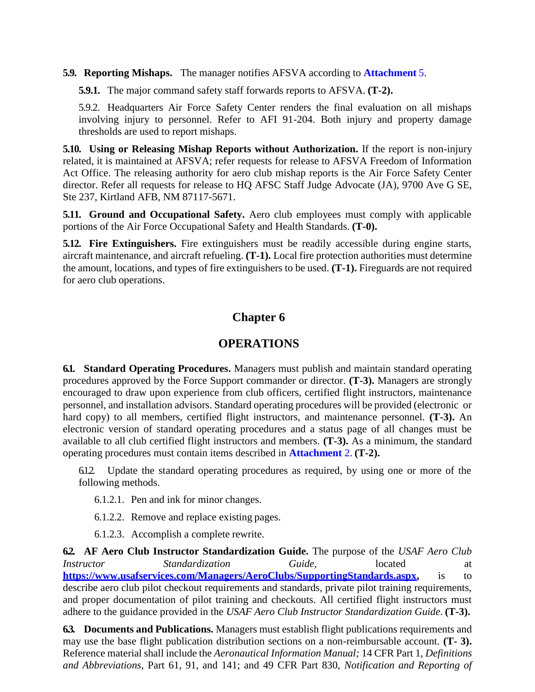### **5.9. Reporting Mishaps.** The manager notifies AFSVA according to **[Attachment](#page-17-0)** 5.

**5.9.1.** The major command safety staff forwards reports to AFSVA. **(T-2).**

5.9.2. Headquarters Air Force Safety Center renders the final evaluation on all mishaps involving injury to personnel. Refer to AFI 91-204. Both injury and property damage thresholds are used to report mishaps.

**5.10. Using or Releasing Mishap Reports without Authorization.** If the report is non-injury related, it is maintained at AFSVA; refer requests for release to AFSVA Freedom of Information Act Office. The releasing authority for aero club mishap reports is the Air Force Safety Center director. Refer all requests for release to HQ AFSC Staff Judge Advocate (JA), 9700 Ave G SE, Ste 237, Kirtland AFB, NM 87117-5671.

**5.11. Ground and Occupational Safety.** Aero club employees must comply with applicable portions of the Air Force Occupational Safety and Health Standards. **(T-0).**

**5.12. Fire Extinguishers.** Fire extinguishers must be readily accessible during engine starts, aircraft maintenance, and aircraft refueling. **(T-1).** Local fire protection authorities must determine the amount, locations, and types of fire extinguishers to be used. **(T-1).** Fireguards are not required for aero club operations.

# **Chapter 6**

## **OPERATIONS**

**6.1. Standard Operating Procedures.** Managers must publish and maintain standard operating procedures approved by the Force Support commander or director. **(T-3).** Managers are strongly encouraged to draw upon experience from club officers, certified flight instructors, maintenance personnel, and installation advisors. Standard operating procedures will be provided (electronic or hard copy) to all members, certified flight instructors, and maintenance personnel. **(T-3).** An electronic version of standard operating procedures and a status page of all changes must be available to all club certified flight instructors and members. **(T-3).** As a minimum, the standard operating procedures must contain items described in **Attachment** 2. **(T-2).**

6.1.2. Update the standard operating procedures as required, by using one or more of the following methods.

- 6.1.2.1. Pen and ink for minor changes.
- 6.1.2.2. Remove and replace existing pages.
- 6.1.2.3. Accomplish a complete rewrite.

**6.2. AF Aero Club Instructor Standardization Guide.** The purpose of the *USAF Aero Club Instructor Standardization Guide,* located at **[https://www.usafservices.com/Managers/AeroClubs/SupportingStandards.aspx,](https://www.usafservices.com/Managers/AeroClubs/SupportingStandards.aspx)** is to describe aero club pilot checkout requirements and standards, private pilot training requirements, and proper documentation of pilot training and checkouts. All certified flight instructors must adhere to the guidance provided in the *USAF Aero Club Instructor Standardization Guide*. **(T-3).**

**6.3. Documents and Publications.** Managers must establish flight publications requirements and may use the base flight publication distribution sections on a non-reimbursable account. **(T- 3).**  Reference material shall include the *Aeronautical Information Manual;* 14 CFR Part 1, *Definitions and Abbreviations*, Part 61, 91, and 141; and 49 CFR Part 830, *Notification and Reporting of*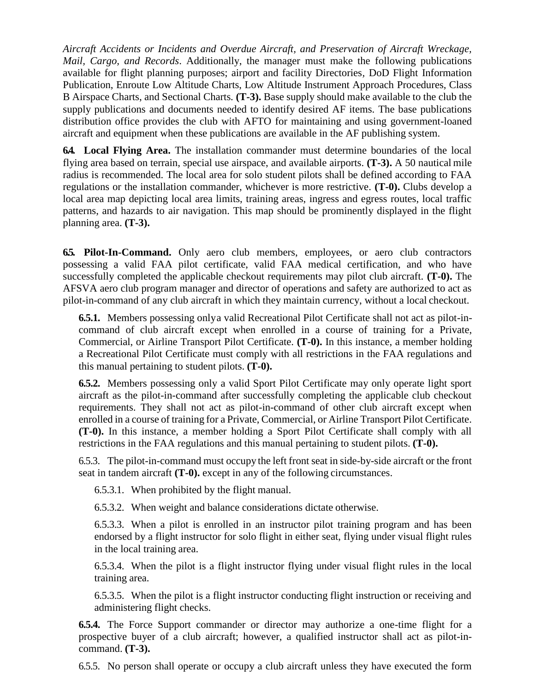*Aircraft Accidents or Incidents and Overdue Aircraft, and Preservation of Aircraft Wreckage, Mail, Cargo, and Records*. Additionally, the manager must make the following publications available for flight planning purposes; airport and facility Directories*,* DoD Flight Information Publication, Enroute Low Altitude Charts, Low Altitude Instrument Approach Procedures, Class B Airspace Charts, and Sectional Charts*.* **(T-3).** Base supply should make available to the club the supply publications and documents needed to identify desired AF items. The base publications distribution office provides the club with AFTO for maintaining and using government-loaned aircraft and equipment when these publications are available in the AF publishing system.

**6.4. Local Flying Area.** The installation commander must determine boundaries of the local flying area based on terrain, special use airspace, and available airports. **(T-3).** A 50 nautical mile radius is recommended. The local area for solo student pilots shall be defined according to FAA regulations or the installation commander, whichever is more restrictive. **(T-0).** Clubs develop a local area map depicting local area limits, training areas, ingress and egress routes, local traffic patterns, and hazards to air navigation. This map should be prominently displayed in the flight planning area. **(T-3).**

**6.5. Pilot-In-Command.** Only aero club members, employees, or aero club contractors possessing a valid FAA pilot certificate, valid FAA medical certification, and who have successfully completed the applicable checkout requirements may pilot club aircraft. **(T-0).** The AFSVA aero club program manager and director of operations and safety are authorized to act as pilot-in-command of any club aircraft in which they maintain currency, without a local checkout.

**6.5.1.** Members possessing onlya valid Recreational Pilot Certificate shall not act as pilot-incommand of club aircraft except when enrolled in a course of training for a Private, Commercial, or Airline Transport Pilot Certificate. **(T-0).** In this instance, a member holding a Recreational Pilot Certificate must comply with all restrictions in the FAA regulations and this manual pertaining to student pilots. **(T-0).**

**6.5.2.** Members possessing only a valid Sport Pilot Certificate may only operate light sport aircraft as the pilot-in-command after successfully completing the applicable club checkout requirements. They shall not act as pilot-in-command of other club aircraft except when enrolled in a course of training for a Private, Commercial, or Airline Transport Pilot Certificate. **(T-0).** In this instance, a member holding a Sport Pilot Certificate shall comply with all restrictions in the FAA regulations and this manual pertaining to student pilots. **(T-0).**

6.5.3. The pilot-in-command must occupy the left front seat in side-by-side aircraft or the front seat in tandem aircraft **(T-0).** except in any of the following circumstances.

6.5.3.1. When prohibited by the flight manual.

6.5.3.2. When weight and balance considerations dictate otherwise.

6.5.3.3. When a pilot is enrolled in an instructor pilot training program and has been endorsed by a flight instructor for solo flight in either seat, flying under visual flight rules in the local training area.

6.5.3.4. When the pilot is a flight instructor flying under visual flight rules in the local training area.

6.5.3.5. When the pilot is a flight instructor conducting flight instruction or receiving and administering flight checks.

**6.5.4.** The Force Support commander or director may authorize a one-time flight for a prospective buyer of a club aircraft; however, a qualified instructor shall act as pilot-incommand. **(T-3).**

6.5.5. No person shall operate or occupy a club aircraft unless they have executed the form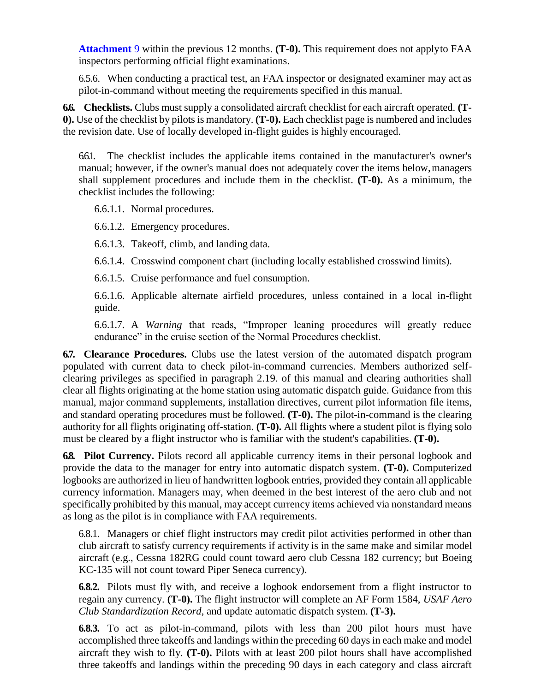**[Attachment](#page-21-0)** 9 within the previous 12 months. **(T-0).** This requirement does not applyto FAA inspectors performing official flight examinations.

6.5.6. When conducting a practical test, an FAA inspector or designated examiner may act as pilot-in-command without meeting the requirements specified in this manual.

**6.6. Checklists.** Clubs must supply a consolidated aircraft checklist for each aircraft operated. **(T-0).** Use of the checklist by pilots is mandatory. **(T-0).** Each checklist page is numbered and includes the revision date. Use of locally developed in-flight guides is highly encouraged.

6.6.1. The checklist includes the applicable items contained in the manufacturer's owner's manual; however, if the owner's manual does not adequately cover the items below,managers shall supplement procedures and include them in the checklist. **(T-0).** As a minimum, the checklist includes the following:

6.6.1.1. Normal procedures.

6.6.1.2. Emergency procedures.

6.6.1.3. Takeoff, climb, and landing data.

6.6.1.4. Crosswind component chart (including locally established crosswind limits).

6.6.1.5. Cruise performance and fuel consumption.

6.6.1.6. Applicable alternate airfield procedures, unless contained in a local in-flight guide.

6.6.1.7. A *Warning* that reads, "Improper leaning procedures will greatly reduce endurance" in the cruise section of the Normal Procedures checklist.

**6.7. Clearance Procedures.** Clubs use the latest version of the automated dispatch program populated with current data to check pilot-in-command currencies. Members authorized selfclearing privileges as specified in paragraph 2.19. of this manual and clearing authorities shall clear all flights originating at the home station using automatic dispatch guide. Guidance from this manual, major command supplements, installation directives, current pilot information file items, and standard operating procedures must be followed. **(T-0).** The pilot-in-command is the clearing authority for all flights originating off-station. **(T-0).** All flights where a student pilot is flying solo must be cleared by a flight instructor who is familiar with the student's capabilities. **(T-0).**

**6.8. Pilot Currency.** Pilots record all applicable currency items in their personal logbook and provide the data to the manager for entry into automatic dispatch system. **(T-0).** Computerized logbooks are authorized in lieu of handwritten logbook entries, provided they contain all applicable currency information. Managers may, when deemed in the best interest of the aero club and not specifically prohibited by this manual, may accept currency items achieved via nonstandard means as long as the pilot is in compliance with FAA requirements.

6.8.1. Managers or chief flight instructors may credit pilot activities performed in other than club aircraft to satisfy currency requirements if activity is in the same make and similar model aircraft (e.g., Cessna 182RG could count toward aero club Cessna 182 currency; but Boeing KC-135 will not count toward Piper Seneca currency).

**6.8.2.** Pilots must fly with, and receive a logbook endorsement from a flight instructor to regain any currency. **(T-0).** The flight instructor will complete an AF Form 1584, *USAF Aero Club Standardization Record*, and update automatic dispatch system. **(T-3).**

**6.8.3.** To act as pilot-in-command, pilots with less than 200 pilot hours must have accomplished three takeoffs and landings within the preceding 60 days in each make and model aircraft they wish to fly. **(T-0).** Pilots with at least 200 pilot hours shall have accomplished three takeoffs and landings within the preceding 90 days in each category and class aircraft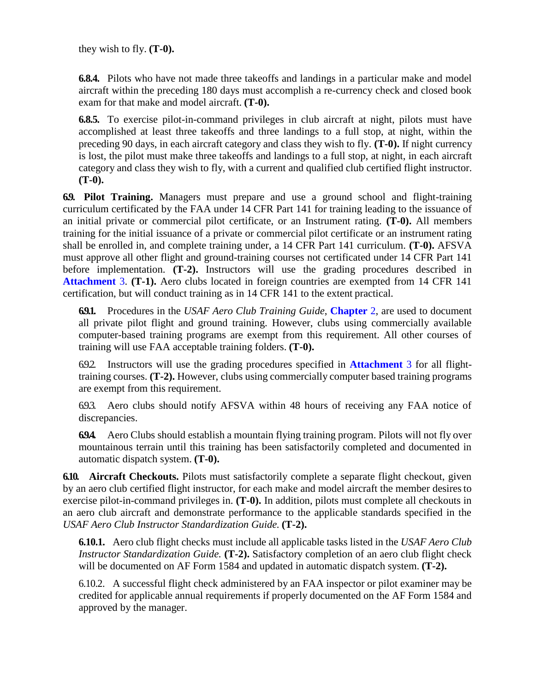they wish to fly. **(T-0).**

**6.8.4.** Pilots who have not made three takeoffs and landings in a particular make and model aircraft within the preceding 180 days must accomplish a re-currency check and closed book exam for that make and model aircraft. **(T-0).**

**6.8.5.** To exercise pilot-in-command privileges in club aircraft at night, pilots must have accomplished at least three takeoffs and three landings to a full stop, at night, within the preceding 90 days, in each aircraft category and class they wish to fly. **(T-0).** If night currency is lost, the pilot must make three takeoffs and landings to a full stop, at night, in each aircraft category and class they wish to fly, with a current and qualified club certified flight instructor. **(T-0).**

**6.9. Pilot Training.** Managers must prepare and use a ground school and flight-training curriculum certificated by the FAA under 14 CFR Part 141 for training leading to the issuance of an initial private or commercial pilot certificate, or an Instrument rating. **(T-0).** All members training for the initial issuance of a private or commercial pilot certificate or an instrument rating shall be enrolled in, and complete training under, a 14 CFR Part 141 curriculum. **(T-0).** AFSVA must approve all other flight and ground-training courses not certificated under 14 CFR Part 141 before implementation. **(T-2).** Instructors will use the grading procedures described in **Attachment** 3. **(T-1).** Aero clubs located in foreign countries are exempted from 14 CFR 141 certification, but will conduct training as in 14 CFR 141 to the extent practical.

**6.9.1.** Procedures in the *USAF Aero Club Training Guide*, **Chapter** 2, are used to document all private pilot flight and ground training. However, clubs using commercially available computer-based training programs are exempt from this requirement. All other courses of training will use FAA acceptable training folders. **(T-0).**

6.9.2. Instructors will use the grading procedures specified in **Attachment** 3 for all flighttraining courses. **(T-2).** However, clubs using commercially computer based training programs are exempt from this requirement.

6.9.3. Aero clubs should notify AFSVA within 48 hours of receiving any FAA notice of discrepancies.

**6.9.4.** Aero Clubs should establish a mountain flying training program. Pilots will not fly over mountainous terrain until this training has been satisfactorily completed and documented in automatic dispatch system. **(T-0).**

**6.10. Aircraft Checkouts.** Pilots must satisfactorily complete a separate flight checkout, given by an aero club certified flight instructor, for each make and model aircraft the member desiresto exercise pilot-in-command privileges in. **(T-0).** In addition, pilots must complete all checkouts in an aero club aircraft and demonstrate performance to the applicable standards specified in the *USAF Aero Club Instructor Standardization Guide.* **(T-2).**

**6.10.1.** Aero club flight checks must include all applicable tasks listed in the *USAF Aero Club Instructor Standardization Guide.* (T-2). Satisfactory completion of an aero club flight check will be documented on AF Form 1584 and updated in automatic dispatch system. **(T-2).**

6.10.2. A successful flight check administered by an FAA inspector or pilot examiner may be credited for applicable annual requirements if properly documented on the AF Form 1584 and approved by the manager.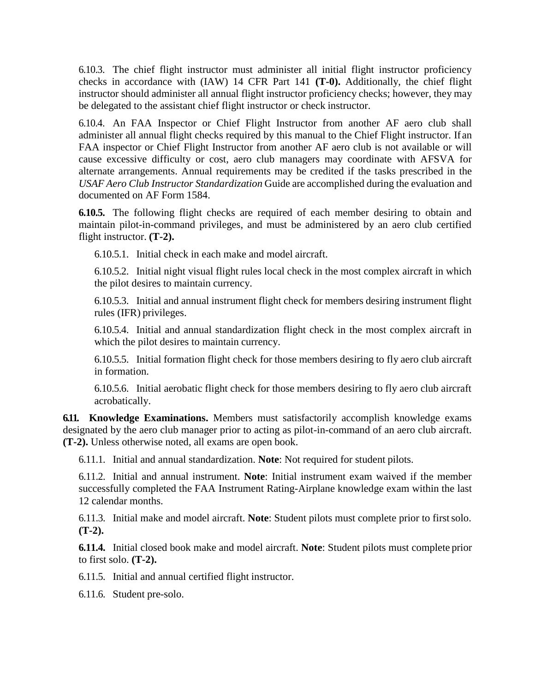6.10.3. The chief flight instructor must administer all initial flight instructor proficiency checks in accordance with (IAW) 14 CFR Part 141 **(T-0).** Additionally, the chief flight instructor should administer all annual flight instructor proficiency checks; however, they may be delegated to the assistant chief flight instructor or check instructor.

6.10.4. An FAA Inspector or Chief Flight Instructor from another AF aero club shall administer all annual flight checks required by this manual to the Chief Flight instructor. If an FAA inspector or Chief Flight Instructor from another AF aero club is not available or will cause excessive difficulty or cost, aero club managers may coordinate with AFSVA for alternate arrangements. Annual requirements may be credited if the tasks prescribed in the *USAF Aero Club Instructor Standardization* Guide are accomplished during the evaluation and documented on AF Form 1584.

**6.10.5.** The following flight checks are required of each member desiring to obtain and maintain pilot-in-command privileges, and must be administered by an aero club certified flight instructor. **(T-2).**

6.10.5.1. Initial check in each make and model aircraft.

6.10.5.2. Initial night visual flight rules local check in the most complex aircraft in which the pilot desires to maintain currency.

6.10.5.3. Initial and annual instrument flight check for members desiring instrument flight rules (IFR) privileges.

6.10.5.4. Initial and annual standardization flight check in the most complex aircraft in which the pilot desires to maintain currency.

6.10.5.5. Initial formation flight check for those members desiring to fly aero club aircraft in formation.

6.10.5.6. Initial aerobatic flight check for those members desiring to fly aero club aircraft acrobatically.

**6.11. Knowledge Examinations.** Members must satisfactorily accomplish knowledge exams designated by the aero club manager prior to acting as pilot-in-command of an aero club aircraft. **(T-2).** Unless otherwise noted, all exams are open book.

6.11.1. Initial and annual standardization. **Note**: Not required for student pilots.

6.11.2. Initial and annual instrument. **Note**: Initial instrument exam waived if the member successfully completed the FAA Instrument Rating-Airplane knowledge exam within the last 12 calendar months.

6.11.3. Initial make and model aircraft. **Note**: Student pilots must complete prior to firstsolo. **(T-2).**

**6.11.4.** Initial closed book make and model aircraft. **Note**: Student pilots must complete prior to first solo. **(T-2).**

6.11.5. Initial and annual certified flight instructor.

6.11.6. Student pre-solo.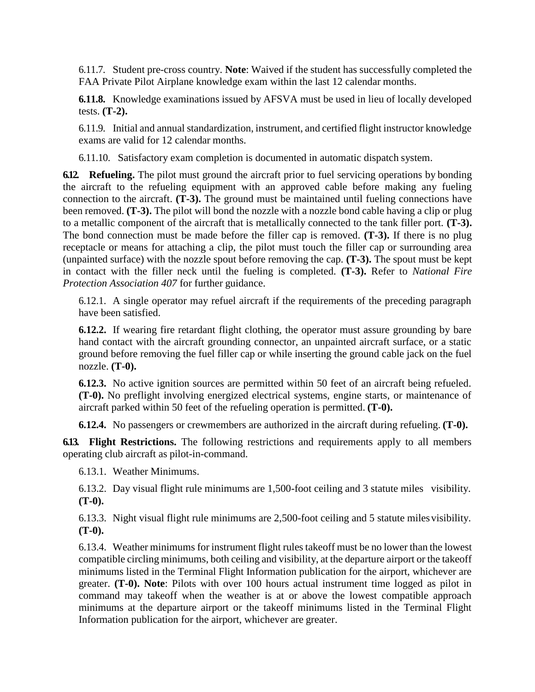6.11.7. Student pre-cross country. **Note**: Waived if the student has successfully completed the FAA Private Pilot Airplane knowledge exam within the last 12 calendar months.

**6.11.8.** Knowledge examinations issued by AFSVA must be used in lieu of locally developed tests. **(T-2).**

6.11.9. Initial and annual standardization, instrument, and certified flight instructor knowledge exams are valid for 12 calendar months.

6.11.10. Satisfactory exam completion is documented in automatic dispatch system.

**6.12. Refueling.** The pilot must ground the aircraft prior to fuel servicing operations by bonding the aircraft to the refueling equipment with an approved cable before making any fueling connection to the aircraft. **(T-3).** The ground must be maintained until fueling connections have been removed. **(T-3).** The pilot will bond the nozzle with a nozzle bond cable having a clip or plug to a metallic component of the aircraft that is metallically connected to the tank filler port. **(T-3).**  The bond connection must be made before the filler cap is removed. **(T-3).** If there is no plug receptacle or means for attaching a clip, the pilot must touch the filler cap or surrounding area (unpainted surface) with the nozzle spout before removing the cap. **(T-3).** The spout must be kept in contact with the filler neck until the fueling is completed. **(T-3).** Refer to *National Fire Protection Association 407* for further guidance.

6.12.1. A single operator may refuel aircraft if the requirements of the preceding paragraph have been satisfied.

**6.12.2.** If wearing fire retardant flight clothing, the operator must assure grounding by bare hand contact with the aircraft grounding connector, an unpainted aircraft surface, or a static ground before removing the fuel filler cap or while inserting the ground cable jack on the fuel nozzle. **(T-0).**

**6.12.3.** No active ignition sources are permitted within 50 feet of an aircraft being refueled. **(T-0).** No preflight involving energized electrical systems, engine starts, or maintenance of aircraft parked within 50 feet of the refueling operation is permitted. **(T-0).**

**6.12.4.** No passengers or crewmembers are authorized in the aircraft during refueling. **(T-0).**

**6.13. Flight Restrictions.** The following restrictions and requirements apply to all members operating club aircraft as pilot-in-command.

6.13.1. Weather Minimums.

6.13.2. Day visual flight rule minimums are 1,500-foot ceiling and 3 statute miles visibility. **(T-0).**

6.13.3. Night visual flight rule minimums are 2,500-foot ceiling and 5 statute milesvisibility. **(T-0).**

6.13.4. Weather minimums for instrument flight rules takeoff must be no lower than the lowest compatible circling minimums, both ceiling and visibility, at the departure airport or the takeoff minimums listed in the Terminal Flight Information publication for the airport, whichever are greater. **(T-0). Note**: Pilots with over 100 hours actual instrument time logged as pilot in command may takeoff when the weather is at or above the lowest compatible approach minimums at the departure airport or the takeoff minimums listed in the Terminal Flight Information publication for the airport, whichever are greater.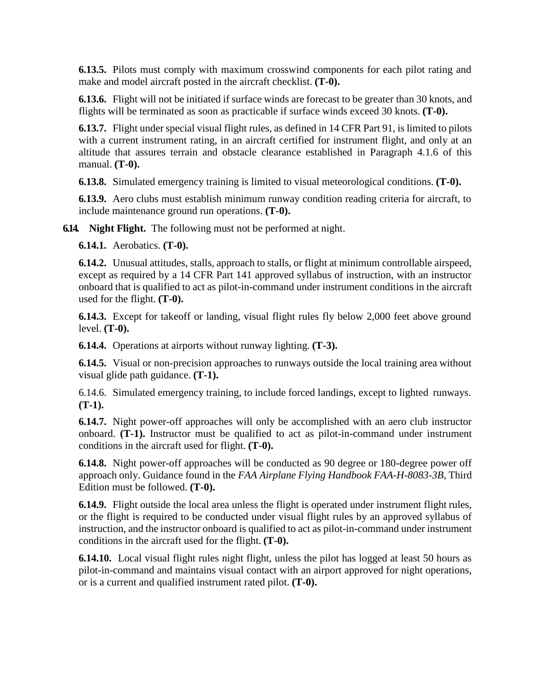**6.13.5.** Pilots must comply with maximum crosswind components for each pilot rating and make and model aircraft posted in the aircraft checklist. **(T-0).**

**6.13.6.** Flight will not be initiated if surface winds are forecast to be greater than 30 knots, and flights will be terminated as soon as practicable if surface winds exceed 30 knots. **(T-0).**

**6.13.7.** Flight under special visual flight rules, as defined in 14 CFR Part 91, is limited to pilots with a current instrument rating, in an aircraft certified for instrument flight, and only at an altitude that assures terrain and obstacle clearance established in Paragraph 4.1.6 of this manual. **(T-0).**

**6.13.8.** Simulated emergency training is limited to visual meteorological conditions. **(T-0).**

**6.13.9.** Aero clubs must establish minimum runway condition reading criteria for aircraft, to include maintenance ground run operations. **(T-0).**

**6.14. Night Flight.** The following must not be performed at night.

**6.14.1.** Aerobatics. **(T-0).**

**6.14.2.** Unusual attitudes, stalls, approach to stalls, or flight at minimum controllable airspeed, except as required by a 14 CFR Part 141 approved syllabus of instruction, with an instructor onboard that is qualified to act as pilot-in-command under instrument conditions in the aircraft used for the flight. **(T-0).**

**6.14.3.** Except for takeoff or landing, visual flight rules fly below 2,000 feet above ground level. **(T-0).**

**6.14.4.** Operations at airports without runway lighting. **(T-3).**

**6.14.5.** Visual or non-precision approaches to runways outside the local training area without visual glide path guidance. **(T-1).**

6.14.6. Simulated emergency training, to include forced landings, except to lighted runways. **(T-1).**

**6.14.7.** Night power-off approaches will only be accomplished with an aero club instructor onboard. **(T-1).** Instructor must be qualified to act as pilot-in-command under instrument conditions in the aircraft used for flight. **(T-0).**

**6.14.8.** Night power-off approaches will be conducted as 90 degree or 180-degree power off approach only. Guidance found in the *FAA Airplane Flying Handbook FAA-H-8083-3B*, Third Edition must be followed. **(T-0).**

**6.14.9.** Flight outside the local area unless the flight is operated under instrument flight rules, or the flight is required to be conducted under visual flight rules by an approved syllabus of instruction, and the instructor onboard is qualified to act as pilot-in-command under instrument conditions in the aircraft used for the flight. **(T-0).**

**6.14.10.** Local visual flight rules night flight, unless the pilot has logged at least 50 hours as pilot-in-command and maintains visual contact with an airport approved for night operations, or is a current and qualified instrument rated pilot. **(T-0).**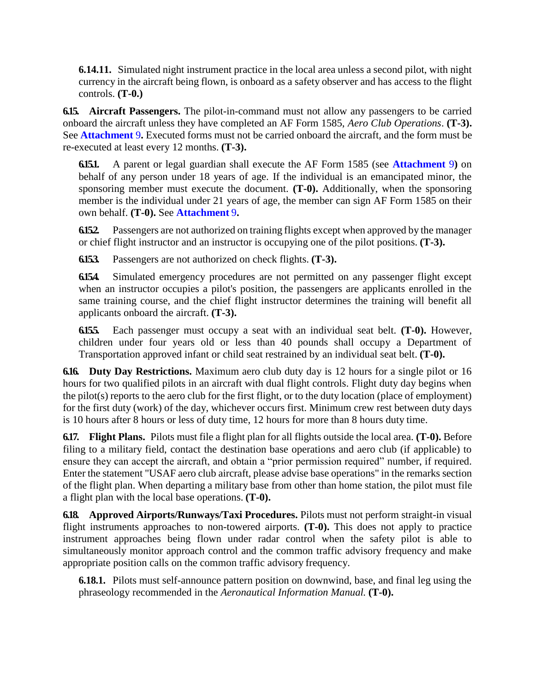**6.14.11.** Simulated night instrument practice in the local area unless a second pilot, with night currency in the aircraft being flown, is onboard as a safety observer and has access to the flight controls. **(T-0.)**

**6.15. Aircraft Passengers.** The pilot-in-command must not allow any passengers to be carried onboard the aircraft unless they have completed an AF Form 1585, *Aero Club Operations*. **(T-3).**  See **[Attachment](#page-21-0)** 9**.** Executed forms must not be carried onboard the aircraft, and the form must be re-executed at least every 12 months. **(T-3).**

**6.15.1.** A parent or legal guardian shall execute the AF Form 1585 (see **[Attachment](#page-21-0)** 9**)** on behalf of any person under 18 years of age. If the individual is an emancipated minor, the sponsoring member must execute the document. **(T-0).** Additionally, when the sponsoring member is the individual under 21 years of age, the member can sign AF Form 1585 on their own behalf. **(T-0).** See **[Attachment](#page-21-0)** 9**.**

**6.15.2.** Passengers are not authorized on training flights except when approved by the manager or chief flight instructor and an instructor is occupying one of the pilot positions. **(T-3).**

**6.15.3.** Passengers are not authorized on check flights. **(T-3).**

**6.15.4.** Simulated emergency procedures are not permitted on any passenger flight except when an instructor occupies a pilot's position, the passengers are applicants enrolled in the same training course, and the chief flight instructor determines the training will benefit all applicants onboard the aircraft. **(T-3).**

**6.15.5.** Each passenger must occupy a seat with an individual seat belt. **(T-0).** However, children under four years old or less than 40 pounds shall occupy a Department of Transportation approved infant or child seat restrained by an individual seat belt. **(T-0).**

**6.16. Duty Day Restrictions.** Maximum aero club duty day is 12 hours for a single pilot or 16 hours for two qualified pilots in an aircraft with dual flight controls. Flight duty day begins when the pilot(s) reports to the aero club for the first flight, or to the duty location (place of employment) for the first duty (work) of the day, whichever occurs first. Minimum crew rest between duty days is 10 hours after 8 hours or less of duty time, 12 hours for more than 8 hours duty time.

**6.17. Flight Plans.** Pilots must file a flight plan for all flights outside the local area. **(T-0).** Before filing to a military field, contact the destination base operations and aero club (if applicable) to ensure they can accept the aircraft, and obtain a "prior permission required" number, if required. Enter the statement "USAF aero club aircraft, please advise base operations" in the remarks section of the flight plan. When departing a military base from other than home station, the pilot must file a flight plan with the local base operations. **(T-0).**

**6.18. Approved Airports/Runways/Taxi Procedures.** Pilots must not perform straight-in visual flight instruments approaches to non-towered airports. **(T-0).** This does not apply to practice instrument approaches being flown under radar control when the safety pilot is able to simultaneously monitor approach control and the common traffic advisory frequency and make appropriate position calls on the common traffic advisory frequency.

**6.18.1.** Pilots must self-announce pattern position on downwind, base, and final leg using the phraseology recommended in the *Aeronautical Information Manual.* **(T-0).**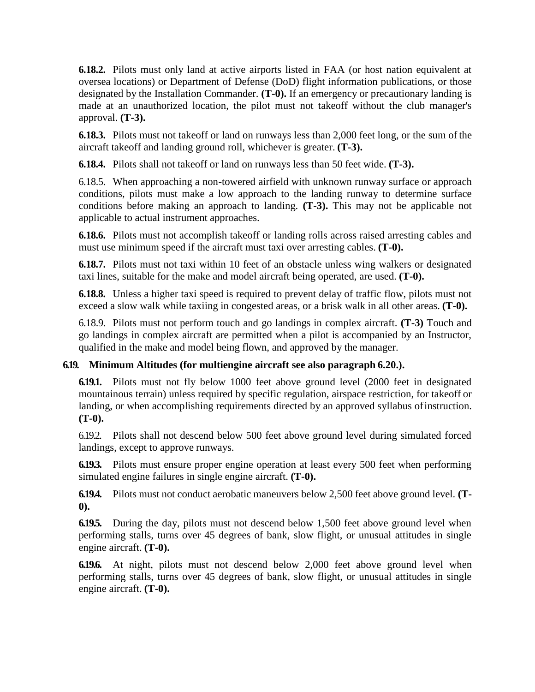**6.18.2.** Pilots must only land at active airports listed in FAA (or host nation equivalent at oversea locations) or Department of Defense (DoD) flight information publications, or those designated by the Installation Commander. **(T-0).** If an emergency or precautionary landing is made at an unauthorized location, the pilot must not takeoff without the club manager's approval. **(T-3).**

**6.18.3.** Pilots must not takeoff or land on runways less than 2,000 feet long, or the sum of the aircraft takeoff and landing ground roll, whichever is greater. **(T-3).**

**6.18.4.** Pilots shall not takeoff or land on runways less than 50 feet wide. **(T-3).**

6.18.5. When approaching a non-towered airfield with unknown runway surface or approach conditions, pilots must make a low approach to the landing runway to determine surface conditions before making an approach to landing. **(T-3).** This may not be applicable not applicable to actual instrument approaches.

**6.18.6.** Pilots must not accomplish takeoff or landing rolls across raised arresting cables and must use minimum speed if the aircraft must taxi over arresting cables. **(T-0).**

**6.18.7.** Pilots must not taxi within 10 feet of an obstacle unless wing walkers or designated taxi lines, suitable for the make and model aircraft being operated, are used. **(T-0).**

**6.18.8.** Unless a higher taxi speed is required to prevent delay of traffic flow, pilots must not exceed a slow walk while taxiing in congested areas, or a brisk walk in all other areas. **(T-0).**

6.18.9. Pilots must not perform touch and go landings in complex aircraft. **(T-3)** Touch and go landings in complex aircraft are permitted when a pilot is accompanied by an Instructor, qualified in the make and model being flown, and approved by the manager.

### **6.19. Minimum Altitudes (for multiengine aircraft see also paragraph 6.20.).**

**6.19.1.** Pilots must not fly below 1000 feet above ground level (2000 feet in designated mountainous terrain) unless required by specific regulation, airspace restriction, for takeoff or landing, or when accomplishing requirements directed by an approved syllabus ofinstruction. **(T-0).**

6.19.2. Pilots shall not descend below 500 feet above ground level during simulated forced landings, except to approve runways.

**6.19.3.** Pilots must ensure proper engine operation at least every 500 feet when performing simulated engine failures in single engine aircraft. **(T-0).**

**6.19.4.** Pilots must not conduct aerobatic maneuvers below 2,500 feet above ground level. **(T-0).**

**6.19.5.** During the day, pilots must not descend below 1,500 feet above ground level when performing stalls, turns over 45 degrees of bank, slow flight, or unusual attitudes in single engine aircraft. **(T-0).**

**6.19.6.** At night, pilots must not descend below 2,000 feet above ground level when performing stalls, turns over 45 degrees of bank, slow flight, or unusual attitudes in single engine aircraft. **(T-0).**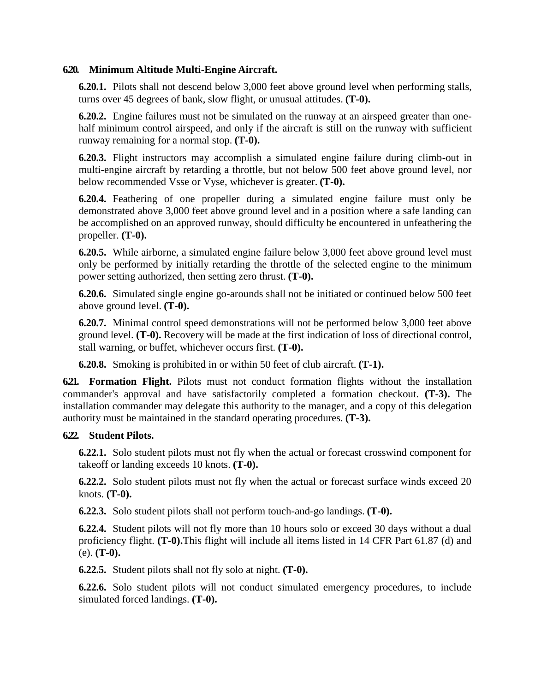### **6.20. Minimum Altitude Multi-Engine Aircraft.**

**6.20.1.** Pilots shall not descend below 3,000 feet above ground level when performing stalls, turns over 45 degrees of bank, slow flight, or unusual attitudes. **(T-0).**

**6.20.2.** Engine failures must not be simulated on the runway at an airspeed greater than onehalf minimum control airspeed, and only if the aircraft is still on the runway with sufficient runway remaining for a normal stop. **(T-0).**

**6.20.3.** Flight instructors may accomplish a simulated engine failure during climb-out in multi-engine aircraft by retarding a throttle, but not below 500 feet above ground level, nor below recommended Vsse or Vyse, whichever is greater. **(T-0).**

**6.20.4.** Feathering of one propeller during a simulated engine failure must only be demonstrated above 3,000 feet above ground level and in a position where a safe landing can be accomplished on an approved runway, should difficulty be encountered in unfeathering the propeller. **(T-0).**

**6.20.5.** While airborne, a simulated engine failure below 3,000 feet above ground level must only be performed by initially retarding the throttle of the selected engine to the minimum power setting authorized, then setting zero thrust. **(T-0).**

**6.20.6.** Simulated single engine go-arounds shall not be initiated or continued below 500 feet above ground level. **(T-0).**

**6.20.7.** Minimal control speed demonstrations will not be performed below 3,000 feet above ground level. **(T-0).** Recovery will be made at the first indication of loss of directional control, stall warning, or buffet, whichever occurs first. **(T-0).**

**6.20.8.** Smoking is prohibited in or within 50 feet of club aircraft. **(T-1).**

**6.21. Formation Flight.** Pilots must not conduct formation flights without the installation commander's approval and have satisfactorily completed a formation checkout. **(T-3).** The installation commander may delegate this authority to the manager, and a copy of this delegation authority must be maintained in the standard operating procedures. **(T-3).**

### **6.22. Student Pilots.**

**6.22.1.** Solo student pilots must not fly when the actual or forecast crosswind component for takeoff or landing exceeds 10 knots. **(T-0).**

**6.22.2.** Solo student pilots must not fly when the actual or forecast surface winds exceed 20 knots. **(T-0).**

**6.22.3.** Solo student pilots shall not perform touch-and-go landings. **(T-0).**

**6.22.4.** Student pilots will not fly more than 10 hours solo or exceed 30 days without a dual proficiency flight. **(T-0).**This flight will include all items listed in 14 CFR Part 61.87 (d) and (e). **(T-0).**

**6.22.5.** Student pilots shall not fly solo at night. **(T-0).**

**6.22.6.** Solo student pilots will not conduct simulated emergency procedures, to include simulated forced landings. **(T-0).**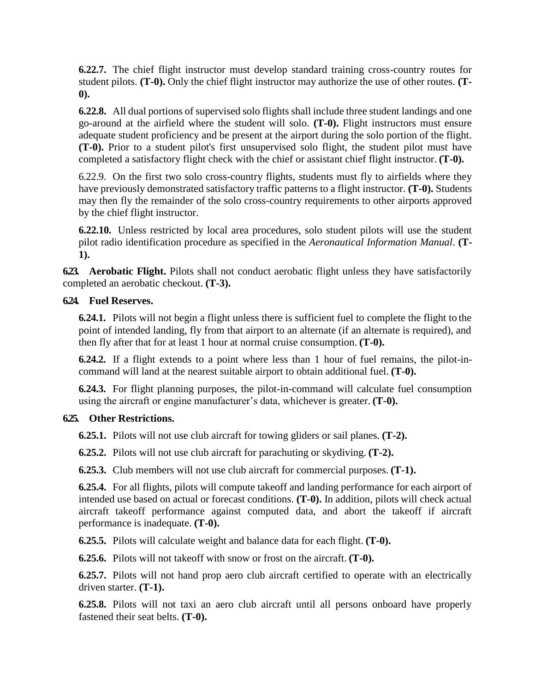**6.22.7.** The chief flight instructor must develop standard training cross-country routes for student pilots. **(T-0).** Only the chief flight instructor may authorize the use of other routes. **(T-0).**

**6.22.8.** All dual portions of supervised solo flights shall include three student landings and one go-around at the airfield where the student will solo. **(T-0).** Flight instructors must ensure adequate student proficiency and be present at the airport during the solo portion of the flight. **(T-0).** Prior to a student pilot's first unsupervised solo flight, the student pilot must have completed a satisfactory flight check with the chief or assistant chief flight instructor. **(T-0).**

6.22.9. On the first two solo cross-country flights, students must fly to airfields where they have previously demonstrated satisfactory traffic patterns to a flight instructor. **(T-0).** Students may then fly the remainder of the solo cross-country requirements to other airports approved by the chief flight instructor.

**6.22.10.** Unless restricted by local area procedures, solo student pilots will use the student pilot radio identification procedure as specified in the *Aeronautical Information Manual*. **(T-1).**

**6.23. Aerobatic Flight.** Pilots shall not conduct aerobatic flight unless they have satisfactorily completed an aerobatic checkout. **(T-3).**

### **6.24. Fuel Reserves.**

**6.24.1.** Pilots will not begin a flight unless there is sufficient fuel to complete the flight to the point of intended landing, fly from that airport to an alternate (if an alternate is required), and then fly after that for at least 1 hour at normal cruise consumption. **(T-0).**

**6.24.2.** If a flight extends to a point where less than 1 hour of fuel remains, the pilot-incommand will land at the nearest suitable airport to obtain additional fuel. **(T-0).**

**6.24.3.** For flight planning purposes, the pilot-in-command will calculate fuel consumption using the aircraft or engine manufacturer's data, whichever is greater. **(T-0).**

### **6.25. Other Restrictions.**

**6.25.1.** Pilots will not use club aircraft for towing gliders or sail planes. **(T-2).**

**6.25.2.** Pilots will not use club aircraft for parachuting or skydiving. **(T-2).**

**6.25.3.** Club members will not use club aircraft for commercial purposes. **(T-1).**

**6.25.4.** For all flights, pilots will compute takeoff and landing performance for each airport of intended use based on actual or forecast conditions. **(T-0).** In addition, pilots will check actual aircraft takeoff performance against computed data, and abort the takeoff if aircraft performance is inadequate. **(T-0).**

**6.25.5.** Pilots will calculate weight and balance data for each flight. **(T-0).**

**6.25.6.** Pilots will not takeoff with snow or frost on the aircraft. **(T-0).**

**6.25.7.** Pilots will not hand prop aero club aircraft certified to operate with an electrically driven starter. **(T-1).**

**6.25.8.** Pilots will not taxi an aero club aircraft until all persons onboard have properly fastened their seat belts. **(T-0).**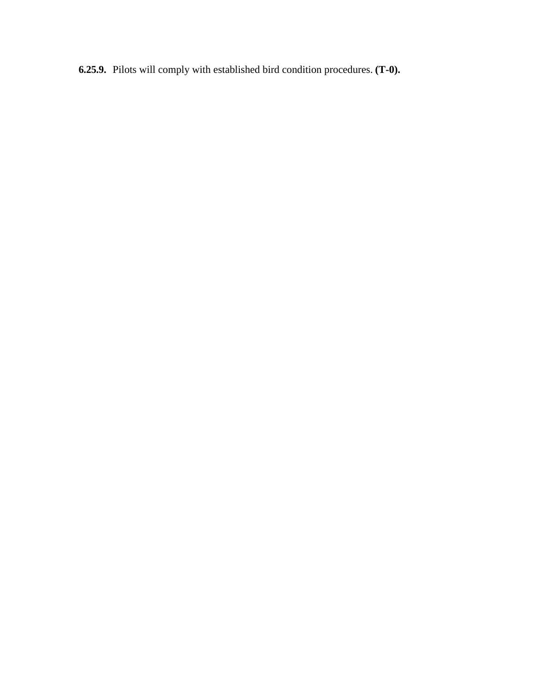**6.25.9.** Pilots will comply with established bird condition procedures. **(T-0).**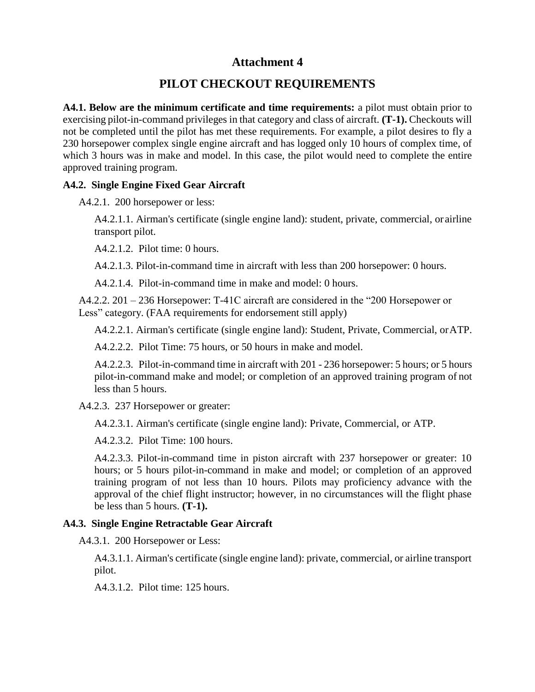# **PILOT CHECKOUT REQUIREMENTS**

**A4.1. Below are the minimum certificate and time requirements:** a pilot must obtain prior to exercising pilot-in-command privileges in that category and class of aircraft. **(T-1).** Checkouts will not be completed until the pilot has met these requirements. For example, a pilot desires to fly a 230 horsepower complex single engine aircraft and has logged only 10 hours of complex time, of which 3 hours was in make and model. In this case, the pilot would need to complete the entire approved training program.

### **A4.2. Single Engine Fixed Gear Aircraft**

A4.2.1. 200 horsepower or less:

A4.2.1.1. Airman's certificate (single engine land): student, private, commercial, or airline transport pilot.

A4.2.1.2. Pilot time: 0 hours.

A4.2.1.3. Pilot-in-command time in aircraft with less than 200 horsepower: 0 hours.

A4.2.1.4. Pilot-in-command time in make and model: 0 hours.

A4.2.2. 201 – 236 Horsepower: T-41C aircraft are considered in the "200 Horsepower or Less" category. (FAA requirements for endorsement still apply)

A4.2.2.1. Airman's certificate (single engine land): Student, Private, Commercial, orATP.

A4.2.2.2. Pilot Time: 75 hours, or 50 hours in make and model.

A4.2.2.3. Pilot-in-command time in aircraft with 201 - 236 horsepower: 5 hours; or 5 hours pilot-in-command make and model; or completion of an approved training program of not less than 5 hours.

A4.2.3. 237 Horsepower or greater:

A4.2.3.1. Airman's certificate (single engine land): Private, Commercial, or ATP.

A4.2.3.2. Pilot Time: 100 hours.

A4.2.3.3. Pilot-in-command time in piston aircraft with 237 horsepower or greater: 10 hours; or 5 hours pilot-in-command in make and model; or completion of an approved training program of not less than 10 hours. Pilots may proficiency advance with the approval of the chief flight instructor; however, in no circumstances will the flight phase be less than 5 hours. **(T-1).**

### **A4.3. Single Engine Retractable Gear Aircraft**

A4.3.1. 200 Horsepower or Less:

A4.3.1.1. Airman's certificate (single engine land): private, commercial, or airline transport pilot.

A4.3.1.2. Pilot time: 125 hours.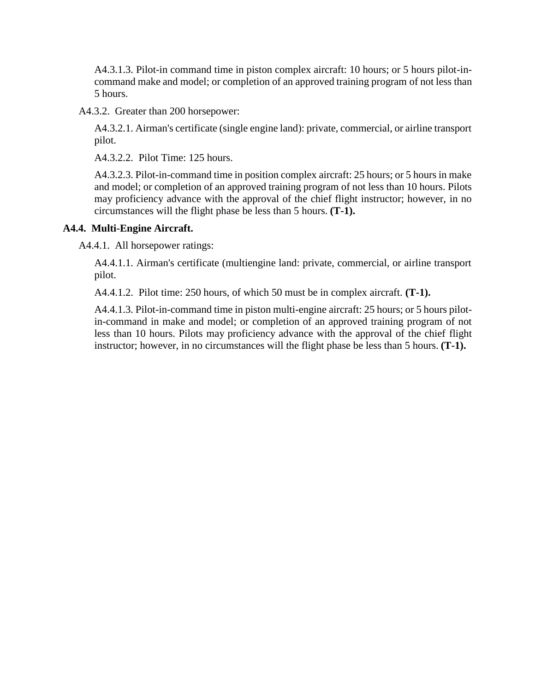A4.3.1.3. Pilot-in command time in piston complex aircraft: 10 hours; or 5 hours pilot-incommand make and model; or completion of an approved training program of not less than 5 hours.

A4.3.2. Greater than 200 horsepower:

A4.3.2.1. Airman's certificate (single engine land): private, commercial, or airline transport pilot.

A4.3.2.2. Pilot Time: 125 hours.

A4.3.2.3. Pilot-in-command time in position complex aircraft: 25 hours; or 5 hours in make and model; or completion of an approved training program of not less than 10 hours. Pilots may proficiency advance with the approval of the chief flight instructor; however, in no circumstances will the flight phase be less than 5 hours. **(T-1).**

#### **A4.4. Multi-Engine Aircraft.**

A4.4.1. All horsepower ratings:

A4.4.1.1. Airman's certificate (multiengine land: private, commercial, or airline transport pilot.

A4.4.1.2. Pilot time: 250 hours, of which 50 must be in complex aircraft. **(T-1).**

A4.4.1.3. Pilot-in-command time in piston multi-engine aircraft: 25 hours; or 5 hours pilotin-command in make and model; or completion of an approved training program of not less than 10 hours. Pilots may proficiency advance with the approval of the chief flight instructor; however, in no circumstances will the flight phase be less than 5 hours. **(T-1).**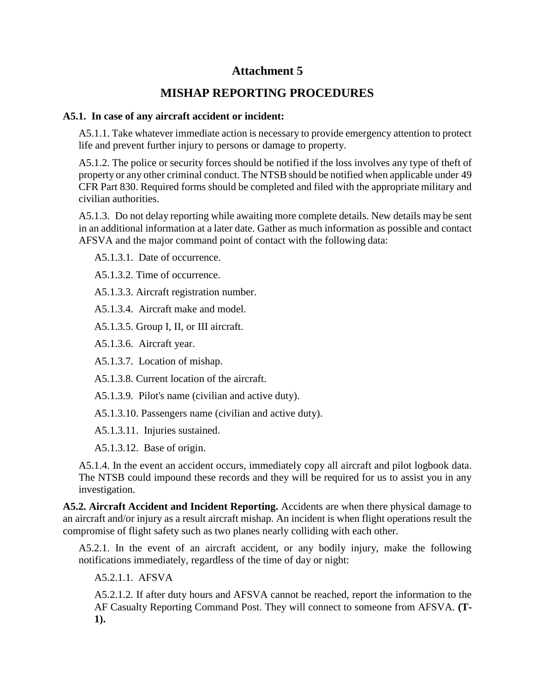# **MISHAP REPORTING PROCEDURES**

### <span id="page-17-0"></span>**A5.1. In case of any aircraft accident or incident:**

A5.1.1. Take whatever immediate action is necessary to provide emergency attention to protect life and prevent further injury to persons or damage to property.

A5.1.2. The police or security forces should be notified if the loss involves any type of theft of property or any other criminal conduct. The NTSB should be notified when applicable under 49 CFR Part 830. Required forms should be completed and filed with the appropriate military and civilian authorities.

A5.1.3. Do not delay reporting while awaiting more complete details. New details may be sent in an additional information at a later date. Gather as much information as possible and contact AFSVA and the major command point of contact with the following data:

A5.1.3.1. Date of occurrence.

A5.1.3.2. Time of occurrence.

A5.1.3.3. Aircraft registration number.

A5.1.3.4. Aircraft make and model.

A5.1.3.5. Group I, II, or III aircraft.

A5.1.3.6. Aircraft year.

A5.1.3.7. Location of mishap.

A5.1.3.8. Current location of the aircraft.

A5.1.3.9. Pilot's name (civilian and active duty).

A5.1.3.10. Passengers name (civilian and active duty).

A5.1.3.11. Injuries sustained.

A5.1.3.12. Base of origin.

A5.1.4. In the event an accident occurs, immediately copy all aircraft and pilot logbook data. The NTSB could impound these records and they will be required for us to assist you in any investigation.

**A5.2. Aircraft Accident and Incident Reporting.** Accidents are when there physical damage to an aircraft and/or injury as a result aircraft mishap. An incident is when flight operations result the compromise of flight safety such as two planes nearly colliding with each other.

A5.2.1. In the event of an aircraft accident, or any bodily injury, make the following notifications immediately, regardless of the time of day or night:

A5.2.1.1. AFSVA

A5.2.1.2. If after duty hours and AFSVA cannot be reached, report the information to the AF Casualty Reporting Command Post. They will connect to someone from AFSVA. **(T-1).**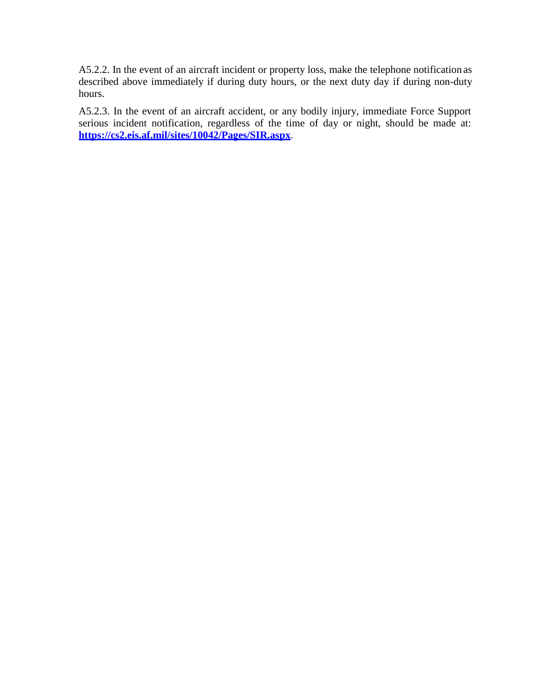A5.2.2. In the event of an aircraft incident or property loss, make the telephone notification as described above immediately if during duty hours, or the next duty day if during non-duty hours.

A5.2.3. In the event of an aircraft accident, or any bodily injury, immediate Force Support serious incident notification, regardless of the time of day or night, should be made at: **<https://cs2.eis.af.mil/sites/10042/Pages/SIR.aspx>**.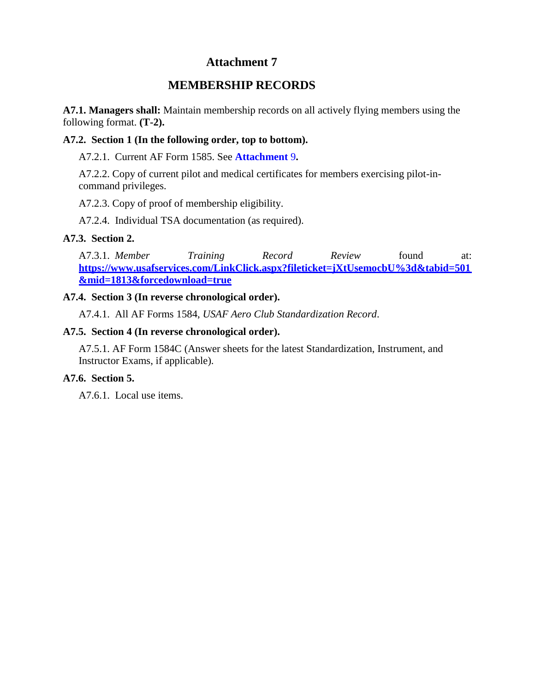# **MEMBERSHIP RECORDS**

**A7.1. Managers shall:** Maintain membership records on all actively flying members using the following format. **(T-2).**

### **A7.2. Section 1 (In the following order, top to bottom).**

A7.2.1. Current AF Form 1585. See **[Attachment](#page-21-0)** 9**.**

A7.2.2. Copy of current pilot and medical certificates for members exercising pilot-incommand privileges.

A7.2.3. Copy of proof of membership eligibility.

A7.2.4. Individual TSA documentation (as required).

### **A7.3. Section 2.**

A7.3.1. *Member Training Record Review* found at: **[https://www.usafservices.com/LinkClick.aspx?fileticket=jXtUsemocbU%3d&tabid=501](https://www.usafservices.com/LinkClick.aspx?fileticket=jXtUsemocbU%3d&tabid=501&mid=1813&forcedownload=true) [&mid=1813&forcedownload=true](https://www.usafservices.com/LinkClick.aspx?fileticket=jXtUsemocbU%3d&tabid=501&mid=1813&forcedownload=true)**

### **A7.4. Section 3 (In reverse chronological order).**

A7.4.1. All AF Forms 1584, *USAF Aero Club Standardization Record*.

### **A7.5. Section 4 (In reverse chronological order).**

A7.5.1. AF Form 1584C (Answer sheets for the latest Standardization, Instrument, and Instructor Exams, if applicable).

### **A7.6. Section 5.**

A7.6.1. Local use items.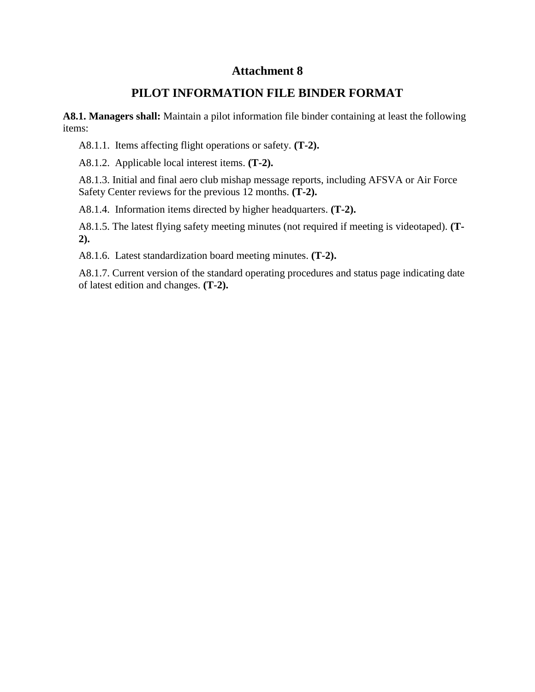## **PILOT INFORMATION FILE BINDER FORMAT**

**A8.1. Managers shall:** Maintain a pilot information file binder containing at least the following items:

A8.1.1. Items affecting flight operations or safety. **(T-2).**

A8.1.2. Applicable local interest items. **(T-2).**

A8.1.3. Initial and final aero club mishap message reports, including AFSVA or Air Force Safety Center reviews for the previous 12 months. **(T-2).**

A8.1.4. Information items directed by higher headquarters. **(T-2).**

A8.1.5. The latest flying safety meeting minutes (not required if meeting is videotaped). **(T-2).**

A8.1.6. Latest standardization board meeting minutes. **(T-2).**

A8.1.7. Current version of the standard operating procedures and status page indicating date of latest edition and changes. **(T-2).**